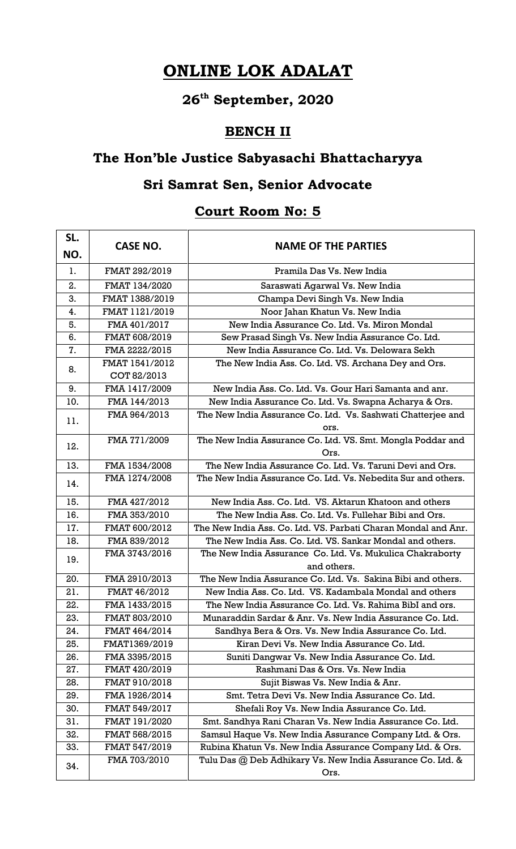# **ONLINE LOK ADALAT**

# **26th September, 2020**

#### **BENCH II**

## **The Hon'ble Justice Sabyasachi Bhattacharyya**

### **Sri Samrat Sen, Senior Advocate**

### **Court Room No: 5**

| SL.<br>NO. | <b>CASE NO.</b> | <b>NAME OF THE PARTIES</b>                                               |
|------------|-----------------|--------------------------------------------------------------------------|
| 1.         | FMAT 292/2019   | Pramila Das Vs. New India                                                |
| 2.         | FMAT 134/2020   | Saraswati Agarwal Vs. New India                                          |
| 3.         | FMAT 1388/2019  | Champa Devi Singh Vs. New India                                          |
| 4.         | FMAT 1121/2019  | Noor Jahan Khatun Vs. New India                                          |
| 5.         | FMA 401/2017    | New India Assurance Co. Ltd. Vs. Miron Mondal                            |
| 6.         | FMAT 608/2019   | Sew Prasad Singh Vs. New India Assurance Co. Ltd.                        |
| 7.         | FMA 2222/2015   | New India Assurance Co. Ltd. Vs. Delowara Sekh                           |
| 8.         | FMAT 1541/2012  | The New India Ass. Co. Ltd. VS. Archana Dey and Ors.                     |
|            | COT 82/2013     |                                                                          |
| 9.         | FMA 1417/2009   | New India Ass. Co. Ltd. Vs. Gour Hari Samanta and anr.                   |
| 10.        | FMA 144/2013    | New India Assurance Co. Ltd. Vs. Swapna Acharya & Ors.                   |
| 11.        | FMA 964/2013    | The New India Assurance Co. Ltd. Vs. Sashwati Chatterjee and             |
|            |                 | ors.                                                                     |
| 12.        | FMA 771/2009    | The New India Assurance Co. Ltd. VS. Smt. Mongla Poddar and              |
|            |                 | Ors.                                                                     |
| 13.        | FMA 1534/2008   | The New India Assurance Co. Ltd. Vs. Taruni Devi and Ors.                |
| 14.        | FMA 1274/2008   | The New India Assurance Co. Ltd. Vs. Nebedita Sur and others.            |
| 15.        | FMA 427/2012    | New India Ass. Co. Ltd. VS. Aktarun Khatoon and others                   |
| 16.        | FMA 353/2010    | The New India Ass. Co. Ltd. Vs. Fullehar Bibi and Ors.                   |
| 17.        | FMAT 600/2012   | The New India Ass. Co. Ltd. VS. Parbati Charan Mondal and Anr.           |
| 18.        | FMA 839/2012    | The New India Ass. Co. Ltd. VS. Sankar Mondal and others.                |
| 19.        | FMA 3743/2016   | The New India Assurance Co. Ltd. Vs. Mukulica Chakraborty<br>and others. |
| 20.        | FMA 2910/2013   | The New India Assurance Co. Ltd. Vs. Sakina Bibi and others.             |
| 21.        | FMAT 46/2012    | New India Ass. Co. Ltd. VS. Kadambala Mondal and others                  |
| 22.        | FMA 1433/2015   | The New India Assurance Co. Ltd. Vs. Rahima BibI and ors.                |
| 23.        | FMAT 803/2010   | Munaraddin Sardar & Anr. Vs. New India Assurance Co. Ltd.                |
| 24.        | FMAT 464/2014   | Sandhya Bera & Ors. Vs. New India Assurance Co. Ltd.                     |
| 25.        | FMAT1369/2019   | Kiran Devi Vs. New India Assurance Co. Ltd.                              |
| 26.        | FMA 3395/2015   | Suniti Dangwar Vs. New India Assurance Co. Ltd.                          |
| 27.        | FMAT 420/2019   | Rashmani Das & Ors. Vs. New India                                        |
| 28.        | FMAT 910/2018   | Sujit Biswas Vs. New India & Anr.                                        |
| 29.        | FMA 1926/2014   | Smt. Tetra Devi Vs. New India Assurance Co. Ltd.                         |
| 30.        | FMAT 549/2017   | Shefali Roy Vs. New India Assurance Co. Ltd.                             |
| 31.        | FMAT 191/2020   | Smt. Sandhya Rani Charan Vs. New India Assurance Co. Ltd.                |
| 32.        | FMAT 568/2015   | Samsul Haque Vs. New India Assurance Company Ltd. & Ors.                 |
| 33.        | FMAT 547/2019   | Rubina Khatun Vs. New India Assurance Company Ltd. & Ors.                |
|            | FMA 703/2010    | Tulu Das @ Deb Adhikary Vs. New India Assurance Co. Ltd. &               |
| 34.        |                 | Ors.                                                                     |